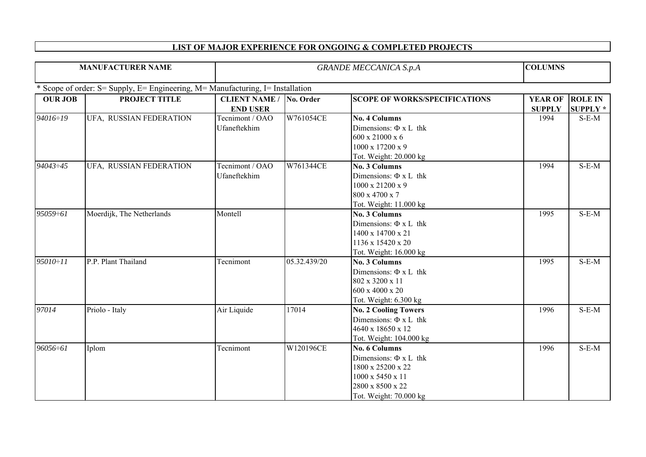## **LIST OF MAJOR EXPERIENCE FOR ONGOING & COMPLETED PROJECTS**

| <b>MANUFACTURER NAME</b> |                                                                                | <b>GRANDE MECCANICA S.p.A</b> |              |                                      | <b>COLUMNS</b> |                 |
|--------------------------|--------------------------------------------------------------------------------|-------------------------------|--------------|--------------------------------------|----------------|-----------------|
|                          | * Scope of order: S= Supply, E= Engineering, M= Manufacturing, I= Installation |                               |              |                                      |                |                 |
| <b>OUR JOB</b>           | PROJECT TITLE                                                                  | <b>CLIENT NAME /</b>          | No. Order    | <b>SCOPE OF WORKS/SPECIFICATIONS</b> | <b>YEAR OF</b> | <b>ROLE IN</b>  |
|                          |                                                                                | <b>END USER</b>               |              |                                      | <b>SUPPLY</b>  | <b>SUPPLY</b> * |
| 94016÷19                 | UFA, RUSSIAN FEDERATION                                                        | Tecnimont / OAO               | W761054CE    | <b>No. 4 Columns</b>                 | 1994           | $S-E-M$         |
|                          |                                                                                | Ufaneftekhim                  |              | Dimensions: $\Phi$ x L thk           |                |                 |
|                          |                                                                                |                               |              | 600 x 21000 x 6                      |                |                 |
|                          |                                                                                |                               |              | 1000 x 17200 x 9                     |                |                 |
|                          |                                                                                |                               |              | Tot. Weight: 20.000 kg               |                |                 |
| 94043:45                 | UFA, RUSSIAN FEDERATION                                                        | Tecnimont / OAO               | W761344CE    | No. 3 Columns                        | 1994           | $S-E-M$         |
|                          |                                                                                | Ufaneftekhim                  |              | Dimensions: $\Phi$ x L thk           |                |                 |
|                          |                                                                                |                               |              | 1000 x 21200 x 9                     |                |                 |
|                          |                                                                                |                               |              | 800 x 4700 x 7                       |                |                 |
|                          |                                                                                |                               |              | Tot. Weight: 11.000 kg               |                |                 |
| 95059÷61                 | Moerdijk, The Netherlands                                                      | Montell                       |              | <b>No. 3 Columns</b>                 | 1995           | $S-E-M$         |
|                          |                                                                                |                               |              | Dimensions: $\Phi$ x L thk           |                |                 |
|                          |                                                                                |                               |              | 1400 x 14700 x 21                    |                |                 |
|                          |                                                                                |                               |              | 1136 x 15420 x 20                    |                |                 |
|                          |                                                                                |                               |              | Tot. Weight: 16.000 kg               |                |                 |
| $95010 - 11$             | P.P. Plant Thailand                                                            | Tecnimont                     | 05.32.439/20 | <b>No. 3 Columns</b>                 | 1995           | $S-E-M$         |
|                          |                                                                                |                               |              | Dimensions: $\Phi$ x L thk           |                |                 |
|                          |                                                                                |                               |              | 802 x 3200 x 11                      |                |                 |
|                          |                                                                                |                               |              | 600 x 4000 x 20                      |                |                 |
|                          |                                                                                |                               |              | Tot. Weight: 6.300 kg                |                |                 |
| 97014                    | Priolo - Italy                                                                 | Air Liquide                   | 17014        | <b>No. 2 Cooling Towers</b>          | 1996           | $S-E-M$         |
|                          |                                                                                |                               |              | Dimensions: $\Phi$ x L thk           |                |                 |
|                          |                                                                                |                               |              | 4640 x 18650 x 12                    |                |                 |
|                          |                                                                                |                               |              | Tot. Weight: 104.000 kg              |                |                 |
| 96056÷61                 | Iplom                                                                          | Tecnimont                     | W120196CE    | <b>No. 6 Columns</b>                 | 1996           | $S-E-M$         |
|                          |                                                                                |                               |              | Dimensions: $\Phi$ x L thk           |                |                 |
|                          |                                                                                |                               |              | 1800 x 25200 x 22                    |                |                 |
|                          |                                                                                |                               |              | 1000 x 5450 x 11                     |                |                 |
|                          |                                                                                |                               |              | 2800 x 8500 x 22                     |                |                 |
|                          |                                                                                |                               |              | Tot. Weight: 70.000 kg               |                |                 |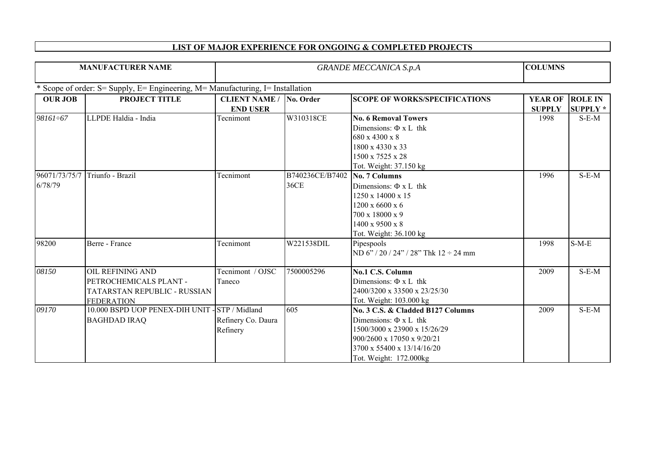| <b>MANUFACTURER NAME</b>                                                       |                                                                                                        | <b>GRANDE MECCANICA S.p.A</b>                     |                                              |                                                                                                                                                                                       | <b>COLUMNS</b>                  |                                   |  |  |  |
|--------------------------------------------------------------------------------|--------------------------------------------------------------------------------------------------------|---------------------------------------------------|----------------------------------------------|---------------------------------------------------------------------------------------------------------------------------------------------------------------------------------------|---------------------------------|-----------------------------------|--|--|--|
| * Scope of order: S= Supply, E= Engineering, M= Manufacturing, I= Installation |                                                                                                        |                                                   |                                              |                                                                                                                                                                                       |                                 |                                   |  |  |  |
| <b>OUR JOB</b>                                                                 | PROJECT TITLE                                                                                          | <b>CLIENT NAME / No. Order</b><br><b>END USER</b> |                                              | <b>SCOPE OF WORKS/SPECIFICATIONS</b>                                                                                                                                                  | <b>YEAR OF</b><br><b>SUPPLY</b> | <b>ROLE IN</b><br><b>SUPPLY</b> * |  |  |  |
| 98161÷67                                                                       | LLPDE Haldia - India                                                                                   | Tecnimont                                         | W310318CE                                    | <b>No. 6 Removal Towers</b><br>Dimensions: $\Phi$ x L thk<br>680 x 4300 x 8<br>1800 x 4330 x 33<br>1500 x 7525 x 28<br>Tot. Weight: 37.150 kg                                         | 1998                            | $S-E-M$                           |  |  |  |
| 96071/73/75/7<br>6/78/79                                                       | Triunfo - Brazil                                                                                       | Tecnimont                                         | B740236CE/B7402 No. 7 Columns<br><b>36CE</b> | Dimensions: $\Phi$ x L thk<br>1250 x 14000 x 15<br>$1200 \times 6600 \times 6$<br>700 x 18000 x 9<br>$1400 \times 9500 \times 8$<br>Tot. Weight: 36.100 kg                            | 1996                            | $S-E-M$                           |  |  |  |
| 98200                                                                          | Berre - France                                                                                         | Tecnimont                                         | W221538DIL                                   | Pipespools<br>ND 6" / 20 / 24" / 28" Thk $12 \div 24$ mm                                                                                                                              | 1998                            | $S-M-E$                           |  |  |  |
| 08150                                                                          | <b>OIL REFINING AND</b><br>PETROCHEMICALS PLANT -<br>TATARSTAN REPUBLIC - RUSSIAN<br><b>FEDERATION</b> | Tecnimont / OJSC<br>Taneco                        | 7500005296                                   | No.1 C.S. Column<br>Dimensions: $\Phi$ x L thk<br>2400/3200 x 33500 x 23/25/30<br>Tot. Weight: 103.000 kg                                                                             | 2009                            | $S-E-M$                           |  |  |  |
| 09170                                                                          | 10.000 BSPD UOP PENEX-DIH UNIT - STP / Midland<br><b>BAGHDAD IRAQ</b>                                  | Refinery Co. Daura<br>Refinery                    | 605                                          | No. 3 C.S. & Cladded B127 Columns<br>Dimensions: $\Phi$ x L thk<br>1500/3000 x 23900 x 15/26/29<br>900/2600 x 17050 x 9/20/21<br>3700 x 55400 x 13/14/16/20<br>Tot. Weight: 172.000kg | 2009                            | $S-E-M$                           |  |  |  |

## **LIST OF MAJOR EXPERIENCE FOR ONGOING & COMPLETED PROJECTS**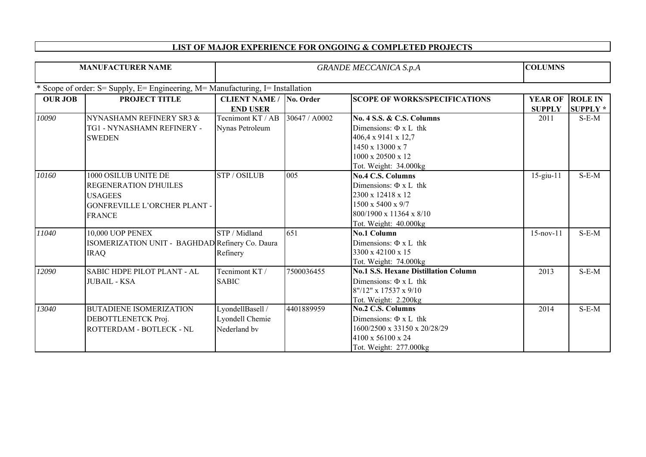|  | <b>LIST OF MAJOR EXPERIENCE FOR ONGOING &amp; COMPLETED PROJECTS</b> |  |
|--|----------------------------------------------------------------------|--|
|  |                                                                      |  |

| <b>MANUFACTURER NAME</b>                                                       |                                                                                                                  | <b>GRANDE MECCANICA S.p.A</b>                       |               |                                                                                                                                                                         | <b>COLUMNS</b>                  |                                   |  |  |
|--------------------------------------------------------------------------------|------------------------------------------------------------------------------------------------------------------|-----------------------------------------------------|---------------|-------------------------------------------------------------------------------------------------------------------------------------------------------------------------|---------------------------------|-----------------------------------|--|--|
| * Scope of order: S= Supply, E= Engineering, M= Manufacturing, I= Installation |                                                                                                                  |                                                     |               |                                                                                                                                                                         |                                 |                                   |  |  |
| <b>OUR JOB</b>                                                                 | PROJECT TITLE                                                                                                    | <b>CLIENT NAME / No. Order</b><br><b>END USER</b>   |               | <b>SCOPE OF WORKS/SPECIFICATIONS</b>                                                                                                                                    | <b>YEAR OF</b><br><b>SUPPLY</b> | <b>ROLE IN</b><br><b>SUPPLY</b> * |  |  |
| 10090                                                                          | NYNASHAMN REFINERY SR3 &<br>TG1 - NYNASHAMN REFINERY -<br><b>SWEDEN</b>                                          | Tecnimont KT / AB<br>Nynas Petroleum                | 30647 / A0002 | <b>No. 4 S.S. &amp; C.S. Columns</b><br>Dimensions: $\Phi$ x L thk<br>406,4 x 9141 x 12,7<br>$1450 \times 13000 \times 7$<br>1000 x 20500 x 12<br>Tot. Weight: 34.000kg | 2011                            | $S-E-M$                           |  |  |
| 10160                                                                          | 1000 OSILUB UNITE DE<br>REGENERATION D'HUILES<br><b>USAGEES</b><br>GONFREVILLE L'ORCHER PLANT -<br><b>FRANCE</b> | <b>STP/OSILUB</b>                                   | 005           | <b>No.4 C.S. Columns</b><br>Dimensions: $\Phi$ x L thk<br>2300 x 12418 x 12<br>$1500 \times 5400 \times 9/7$<br>800/1900 x 11364 x 8/10<br>Tot. Weight: 40.000kg        | $15$ -giu- $11$                 | $S-E-M$                           |  |  |
| 11040                                                                          | <b>10,000 UOP PENEX</b><br>ISOMERIZATION UNIT - BAGHDAD Refinery Co. Daura<br><b>IRAQ</b>                        | STP / Midland<br>Refinery                           | 651           | <b>No.1 Column</b><br>Dimensions: $\Phi$ x L thk<br>3300 x 42100 x 15<br>Tot. Weight: 74.000kg                                                                          | $15$ -nov- $11$                 | $S-E-M$                           |  |  |
| 12090                                                                          | SABIC HDPE PILOT PLANT - AL<br><b>JUBAIL - KSA</b>                                                               | Tecnimont KT/<br><b>SABIC</b>                       | 7500036455    | <b>No.1 S.S. Hexane Distillation Column</b><br>Dimensions: $\Phi$ x L thk<br>8"/12" x 17537 x 9/10<br>Tot. Weight: 2.200kg                                              | 2013                            | $S-E-M$                           |  |  |
| 13040                                                                          | <b>BUTADIENE ISOMERIZATION</b><br>DEBOTTLENETCK Proj.<br>ROTTERDAM - BOTLECK - NL                                | LyondellBasell /<br>Lyondell Chemie<br>Nederland by | 4401889959    | <b>No.2 C.S. Columns</b><br>Dimensions: $\Phi$ x L thk<br>1600/2500 x 33150 x 20/28/29<br>4100 x 56100 x 24<br>Tot. Weight: 277.000kg                                   | 2014                            | $S-E-M$                           |  |  |